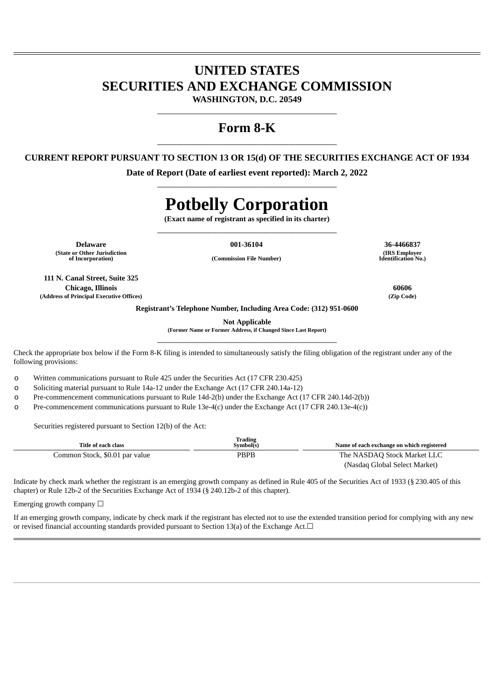# **UNITED STATES SECURITIES AND EXCHANGE COMMISSION**

**WASHINGTON, D.C. 20549** \_\_\_\_\_\_\_\_\_\_\_\_\_\_\_\_\_\_\_\_\_\_\_\_\_\_\_\_\_\_\_\_\_\_\_\_\_\_\_\_

# **Form 8-K** \_\_\_\_\_\_\_\_\_\_\_\_\_\_\_\_\_\_\_\_\_\_\_\_\_\_\_\_\_\_\_\_\_\_\_\_\_\_\_\_

## **CURRENT REPORT PURSUANT TO SECTION 13 OR 15(d) OF THE SECURITIES EXCHANGE ACT OF 1934**

**Date of Report (Date of earliest event reported): March 2, 2022** \_\_\_\_\_\_\_\_\_\_\_\_\_\_\_\_\_\_\_\_\_\_\_\_\_\_\_\_\_\_\_\_\_\_\_\_\_\_\_\_

# **Potbelly Corporation**

**(Exact name of registrant as specified in its charter)** \_\_\_\_\_\_\_\_\_\_\_\_\_\_\_\_\_\_\_\_\_\_\_\_\_\_\_\_\_\_\_\_\_\_\_\_\_\_\_\_

**Delaware 001-36104 36-4466837 (State or Other Jurisdiction**

**of Incorporation) (Commission File Number)**

**111 N. Canal Street, Suite 325 Chicago, Illinois 60606 (Address of Principal Executive Offices) (Zip Code)**

**(IRS Employer Identification No.)**

**Registrant's Telephone Number, Including Area Code: (312) 951-0600**

**Not Applicable**

**(Former Name or Former Address, if Changed Since Last Report)** \_\_\_\_\_\_\_\_\_\_\_\_\_\_\_\_\_\_\_\_\_\_\_\_\_\_\_\_\_\_\_\_\_\_\_\_\_\_\_\_

Check the appropriate box below if the Form 8-K filing is intended to simultaneously satisfy the filing obligation of the registrant under any of the following provisions:

o Written communications pursuant to Rule 425 under the Securities Act (17 CFR 230.425)

o Soliciting material pursuant to Rule 14a-12 under the Exchange Act (17 CFR 240.14a-12)

o Pre-commencement communications pursuant to Rule 14d-2(b) under the Exchange Act (17 CFR 240.14d-2(b))

o Pre-commencement communications pursuant to Rule 13e-4(c) under the Exchange Act (17 CFR 240.13e-4(c))

Securities registered pursuant to Section 12(b) of the Act:

| Title of each class            | Trading<br>Symbol(s) | Name of each exchange on which registered |
|--------------------------------|----------------------|-------------------------------------------|
| Common Stock, \$0.01 par value | PBPB                 | The NASDAQ Stock Market LLC               |
|                                |                      | (Nasdaq Global Select Market)             |

Indicate by check mark whether the registrant is an emerging growth company as defined in Rule 405 of the Securities Act of 1933 (§ 230.405 of this chapter) or Rule 12b-2 of the Securities Exchange Act of 1934 (§ 240.12b-2 of this chapter).

Emerging growth company  $\Box$ 

If an emerging growth company, indicate by check mark if the registrant has elected not to use the extended transition period for complying with any new or revised financial accounting standards provided pursuant to Section 13(a) of the Exchange Act. $□$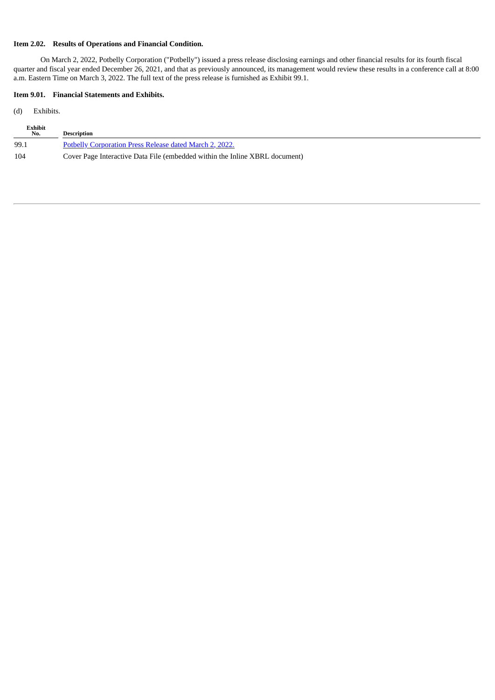### **Item 2.02. Results of Operations and Financial Condition.**

On March 2, 2022, Potbelly Corporation ("Potbelly") issued a press release disclosing earnings and other financial results for its fourth fiscal quarter and fiscal year ended December 26, 2021, and that as previously announced, its management would review these results in a conference call at 8:00 a.m. Eastern Time on March 3, 2022. The full text of the press release is furnished as Exhibit 99.1.

#### **Item 9.01. Financial Statements and Exhibits.**

(d) Exhibits.

| Exhibit<br>No. | <b>Description</b>                                                          |
|----------------|-----------------------------------------------------------------------------|
| 99.1           | <b>Potbelly Corporation Press Release dated March 2, 2022.</b>              |
| 104            | Cover Page Interactive Data File (embedded within the Inline XBRL document) |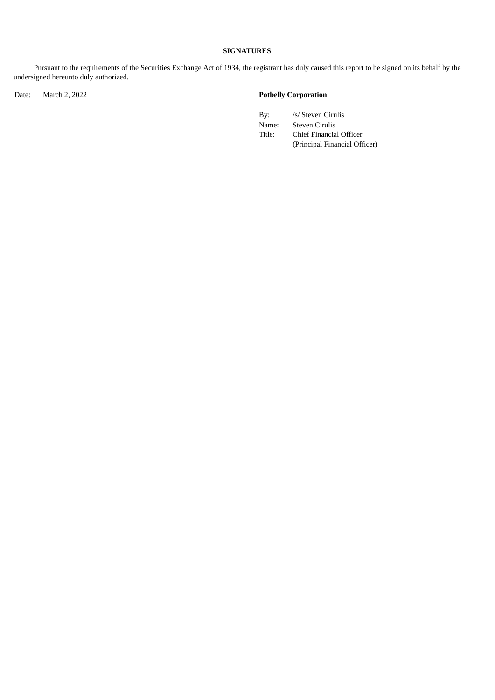#### **SIGNATURES**

Pursuant to the requirements of the Securities Exchange Act of 1934, the registrant has duly caused this report to be signed on its behalf by the undersigned hereunto duly authorized.

Date: March 2, 2022 **Potbelly Corporation**

By: /s/ Steven Cirulis

Name: Steven Cirulis<br>Title: Chief Financia Chief Financial Officer (Principal Financial Officer)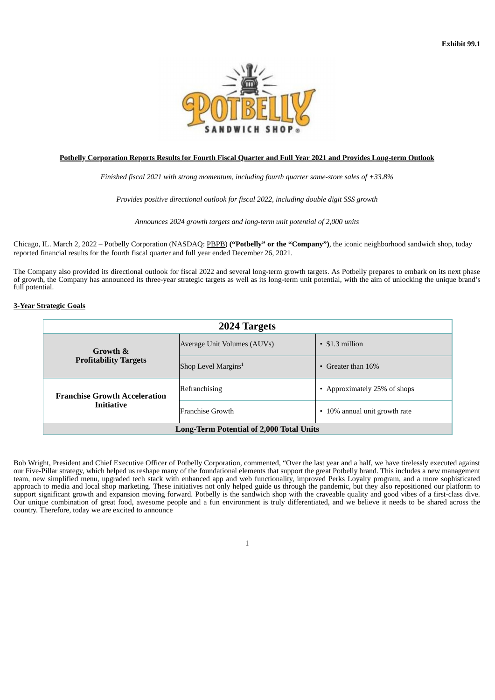

#### <span id="page-3-0"></span>**Potbelly Corporation Reports Results for Fourth Fiscal Quarter and Full Year 2021 and Provides Long-term Outlook**

*Finished fiscal 2021 with strong momentum, including fourth quarter same-store sales of +33.8%*

*Provides positive directional outlook for fiscal 2022, including double digit SSS growth*

*Announces 2024 growth targets and long-term unit potential of 2,000 units*

Chicago, IL. March 2, 2022 – Potbelly Corporation (NASDAQ: PBPB) **("Potbelly" or the "Company")**, the iconic neighborhood sandwich shop, today reported financial results for the fourth fiscal quarter and full year ended December 26, 2021.

The Company also provided its directional outlook for fiscal 2022 and several long-term growth targets. As Potbelly prepares to embark on its next phase of growth, the Company has announced its three-year strategic targets as well as its long-term unit potential, with the aim of unlocking the unique brand's full potential.

#### **3-Year Strategic Goals**

| 2024 Targets                                    |                                 |                               |  |  |  |  |  |  |  |
|-------------------------------------------------|---------------------------------|-------------------------------|--|--|--|--|--|--|--|
| Growth &<br><b>Profitability Targets</b>        | Average Unit Volumes (AUVs)     | $\cdot$ \$1.3 million         |  |  |  |  |  |  |  |
|                                                 | Shop Level Margins <sup>1</sup> | • Greater than $16\%$         |  |  |  |  |  |  |  |
| <b>Franchise Growth Acceleration</b>            | <b>Refranchising</b>            | • Approximately 25% of shops  |  |  |  |  |  |  |  |
| <b>Initiative</b>                               | Franchise Growth                | • 10% annual unit growth rate |  |  |  |  |  |  |  |
| <b>Long-Term Potential of 2,000 Total Units</b> |                                 |                               |  |  |  |  |  |  |  |

Bob Wright, President and Chief Executive Officer of Potbelly Corporation, commented, "Over the last year and a half, we have tirelessly executed against our Five-Pillar strategy, which helped us reshape many of the foundational elements that support the great Potbelly brand. This includes a new management team, new simplified menu, upgraded tech stack with enhanced app and web functionality, improved Perks Loyalty program, and a more sophisticated approach to media and local shop marketing. These initiatives not only helped guide us through the pandemic, but they also repositioned our platform to support significant growth and expansion moving forward. Potbelly is the sandwich shop with the craveable quality and good vibes of a first-class dive. Our unique combination of great food, awesome people and a fun environment is truly differentiated, and we believe it needs to be shared across the country. Therefore, today we are excited to announce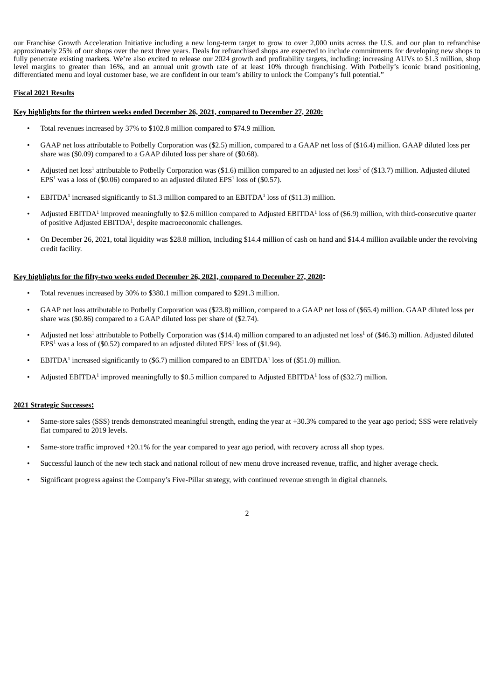our Franchise Growth Acceleration Initiative including a new long-term target to grow to over 2,000 units across the U.S. and our plan to refranchise approximately 25% of our shops over the next three years. Deals for refranchised shops are expected to include commitments for developing new shops to fully penetrate existing markets. We're also excited to release our 2024 growth and profitability targets, including: increasing AUVs to \$1.3 million, shop level margins to greater than 16%, and an annual unit growth rate of at least 10% through franchising. With Potbelly's iconic brand positioning, differentiated menu and loyal customer base, we are confident in our team's ability to unlock the Company's full potential."

#### **Fiscal 2021 Results**

#### **Key highlights for the thirteen weeks ended December 26, 2021, compared to December 27, 2020:**

- Total revenues increased by 37% to \$102.8 million compared to \$74.9 million.
- GAAP net loss attributable to Potbelly Corporation was (\$2.5) million, compared to a GAAP net loss of (\$16.4) million. GAAP diluted loss per share was (\$0.09) compared to a GAAP diluted loss per share of (\$0.68).
- Adjusted net loss<sup>1</sup> attributable to Potbelly Corporation was  $($1.6)$  million compared to an adjusted net loss<sup>1</sup> of  $($13.7)$  million. Adjusted diluted  $EPS<sup>1</sup>$  was a loss of (\$0.06) compared to an adjusted diluted  $EPS<sup>1</sup>$  loss of (\$0.57).
- EBITDA<sup>1</sup> increased significantly to \$1.3 million compared to an EBITDA<sup>1</sup> loss of (\$11.3) million.
- Adjusted EBITDA<sup>1</sup> improved meaningfully to \$2.6 million compared to Adjusted EBITDA<sup>1</sup> loss of (\$6.9) million, with third-consecutive quarter of positive Adjusted EBITDA<sup>1</sup>, despite macroeconomic challenges.
- On December 26, 2021, total liquidity was \$28.8 million, including \$14.4 million of cash on hand and \$14.4 million available under the revolving credit facility.

#### **Key highlights for the fifty-two weeks ended December 26, 2021, compared to December 27, 2020:**

- Total revenues increased by 30% to \$380.1 million compared to \$291.3 million.
- GAAP net loss attributable to Potbelly Corporation was (\$23.8) million, compared to a GAAP net loss of (\$65.4) million. GAAP diluted loss per share was (\$0.86) compared to a GAAP diluted loss per share of (\$2.74).
- Adjusted net loss<sup>1</sup> attributable to Potbelly Corporation was (\$14.4) million compared to an adjusted net loss<sup>1</sup> of (\$46.3) million. Adjusted diluted  $EPS<sup>1</sup>$  was a loss of (\$0.52) compared to an adjusted diluted  $EPS<sup>1</sup>$  loss of (\$1.94).
- EBITDA<sup>1</sup> increased significantly to  $(\$6.7)$  million compared to an EBITDA<sup>1</sup> loss of  $(\$51.0)$  million.
- Adjusted EBITDA<sup>1</sup> improved meaningfully to \$0.5 million compared to Adjusted EBITDA<sup>1</sup> loss of (\$32.7) million.

#### **2021 Strategic Successes:**

- Same-store sales (SSS) trends demonstrated meaningful strength, ending the year at +30.3% compared to the year ago period; SSS were relatively flat compared to 2019 levels.
- Same-store traffic improved +20.1% for the year compared to year ago period, with recovery across all shop types.
- Successful launch of the new tech stack and national rollout of new menu drove increased revenue, traffic, and higher average check.
- Significant progress against the Company's Five-Pillar strategy, with continued revenue strength in digital channels.

 $\overline{2}$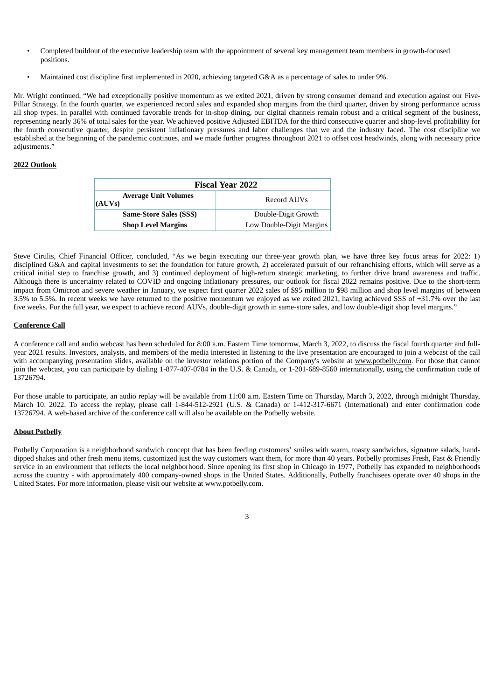- Completed buildout of the executive leadership team with the appointment of several key management team members in growth-focused positions.
- Maintained cost discipline first implemented in 2020, achieving targeted G&A as a percentage of sales to under 9%.

Mr. Wright continued, "We had exceptionally positive momentum as we exited 2021, driven by strong consumer demand and execution against our Five-Pillar Strategy. In the fourth quarter, we experienced record sales and expanded shop margins from the third quarter, driven by strong performance across all shop types. In parallel with continued favorable trends for in-shop dining, our digital channels remain robust and a critical segment of the business, representing nearly 36% of total sales for the year. We achieved positive Adjusted EBITDA for the third consecutive quarter and shop-level profitability for the fourth consecutive quarter, despite persistent inflationary pressures and labor challenges that we and the industry faced. The cost discipline we established at the beginning of the pandemic continues, and we made further progress throughout 2021 to offset cost headwinds, along with necessary price adjustments."

#### **2022 Outlook**

| <b>Fiscal Year 2022</b>               |                          |  |  |  |  |  |  |  |
|---------------------------------------|--------------------------|--|--|--|--|--|--|--|
| <b>Average Unit Volumes</b><br>(AUVs) | Record AUVs              |  |  |  |  |  |  |  |
| <b>Same-Store Sales (SSS)</b>         | Double-Digit Growth      |  |  |  |  |  |  |  |
| <b>Shop Level Margins</b>             | Low Double-Digit Margins |  |  |  |  |  |  |  |

Steve Cirulis, Chief Financial Officer, concluded, "As we begin executing our three-year growth plan, we have three key focus areas for 2022: 1) disciplined G&A and capital investments to set the foundation for future growth, 2) accelerated pursuit of our refranchising efforts, which will serve as a critical initial step to franchise growth, and 3) continued deployment of high-return strategic marketing, to further drive brand awareness and traffic. Although there is uncertainty related to COVID and ongoing inflationary pressures, our outlook for fiscal 2022 remains positive. Due to the short-term impact from Omicron and severe weather in January, we expect first quarter 2022 sales of \$95 million to \$98 million and shop level margins of between 3.5% to 5.5%. In recent weeks we have returned to the positive momentum we enjoyed as we exited 2021, having achieved SSS of +31.7% over the last five weeks. For the full year, we expect to achieve record AUVs, double-digit growth in same-store sales, and low double-digit shop level margins."

#### **Conference Call**

A conference call and audio webcast has been scheduled for 8:00 a.m. Eastern Time tomorrow, March 3, 2022, to discuss the fiscal fourth quarter and fullyear 2021 results. Investors, analysts, and members of the media interested in listening to the live presentation are encouraged to join a webcast of the call with accompanying presentation slides, available on the investor relations portion of the Company's website at www.potbelly.com. For those that cannot join the webcast, you can participate by dialing 1-877-407-0784 in the U.S. & Canada, or 1-201-689-8560 internationally, using the confirmation code of 13726794.

For those unable to participate, an audio replay will be available from 11:00 a.m. Eastern Time on Thursday, March 3, 2022, through midnight Thursday, March 10. 2022. To access the replay, please call 1-844-512-2921 (U.S. & Canada) or 1-412-317-6671 (International) and enter confirmation code 13726794. A web-based archive of the conference call will also be available on the Potbelly website.

#### **About Potbelly**

Potbelly Corporation is a neighborhood sandwich concept that has been feeding customers' smiles with warm, toasty sandwiches, signature salads, handdipped shakes and other fresh menu items, customized just the way customers want them, for more than 40 years. Potbelly promises Fresh, Fast & Friendly service in an environment that reflects the local neighborhood. Since opening its first shop in Chicago in 1977, Potbelly has expanded to neighborhoods across the country - with approximately 400 company-owned shops in the United States. Additionally, Potbelly franchisees operate over 40 shops in the United States. For more information, please visit our website at www.potbelly.com.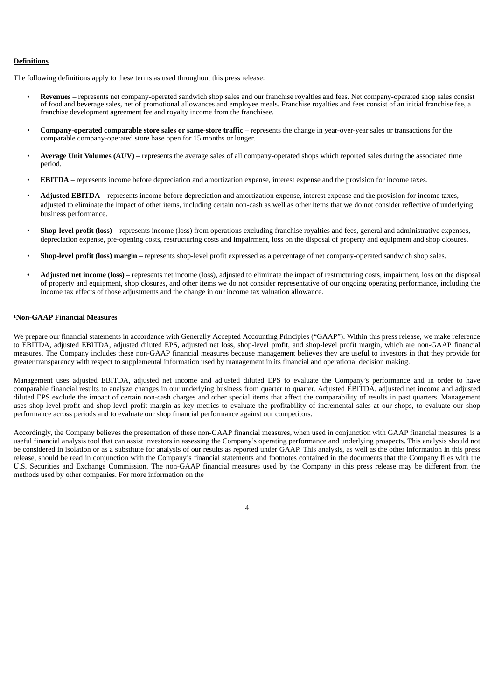#### **Definitions**

The following definitions apply to these terms as used throughout this press release:

- **Revenues** represents net company-operated sandwich shop sales and our franchise royalties and fees. Net company-operated shop sales consist of food and beverage sales, net of promotional allowances and employee meals. Franchise royalties and fees consist of an initial franchise fee, a franchise development agreement fee and royalty income from the franchisee.
- **Company-operated comparable store sales or same-store traffic** represents the change in year-over-year sales or transactions for the comparable company-operated store base open for 15 months or longer.
- **Average Unit Volumes (AUV)** represents the average sales of all company-operated shops which reported sales during the associated time period.
- **EBITDA** represents income before depreciation and amortization expense, interest expense and the provision for income taxes.
- **Adjusted EBITDA** represents income before depreciation and amortization expense, interest expense and the provision for income taxes, adjusted to eliminate the impact of other items, including certain non-cash as well as other items that we do not consider reflective of underlying business performance.
- **Shop-level profit (loss)** represents income (loss) from operations excluding franchise royalties and fees, general and administrative expenses, depreciation expense, pre-opening costs, restructuring costs and impairment, loss on the disposal of property and equipment and shop closures.
- **Shop-level profit (loss) margin** represents shop-level profit expressed as a percentage of net company-operated sandwich shop sales.
- **Adjusted net income (loss)** represents net income (loss), adjusted to eliminate the impact of restructuring costs, impairment, loss on the disposal of property and equipment, shop closures, and other items we do not consider representative of our ongoing operating performance, including the income tax effects of those adjustments and the change in our income tax valuation allowance.

#### **Non-GAAP Financial Measures 1**

We prepare our financial statements in accordance with Generally Accepted Accounting Principles ("GAAP"). Within this press release, we make reference to EBITDA, adjusted EBITDA, adjusted diluted EPS, adjusted net loss, shop-level profit, and shop-level profit margin, which are non-GAAP financial measures. The Company includes these non-GAAP financial measures because management believes they are useful to investors in that they provide for greater transparency with respect to supplemental information used by management in its financial and operational decision making.

Management uses adjusted EBITDA, adjusted net income and adjusted diluted EPS to evaluate the Company's performance and in order to have comparable financial results to analyze changes in our underlying business from quarter to quarter. Adjusted EBITDA, adjusted net income and adjusted diluted EPS exclude the impact of certain non-cash charges and other special items that affect the comparability of results in past quarters. Management uses shop-level profit and shop-level profit margin as key metrics to evaluate the profitability of incremental sales at our shops, to evaluate our shop performance across periods and to evaluate our shop financial performance against our competitors.

Accordingly, the Company believes the presentation of these non-GAAP financial measures, when used in conjunction with GAAP financial measures, is a useful financial analysis tool that can assist investors in assessing the Company's operating performance and underlying prospects. This analysis should not be considered in isolation or as a substitute for analysis of our results as reported under GAAP. This analysis, as well as the other information in this press release, should be read in conjunction with the Company's financial statements and footnotes contained in the documents that the Company files with the U.S. Securities and Exchange Commission. The non-GAAP financial measures used by the Company in this press release may be different from the methods used by other companies. For more information on the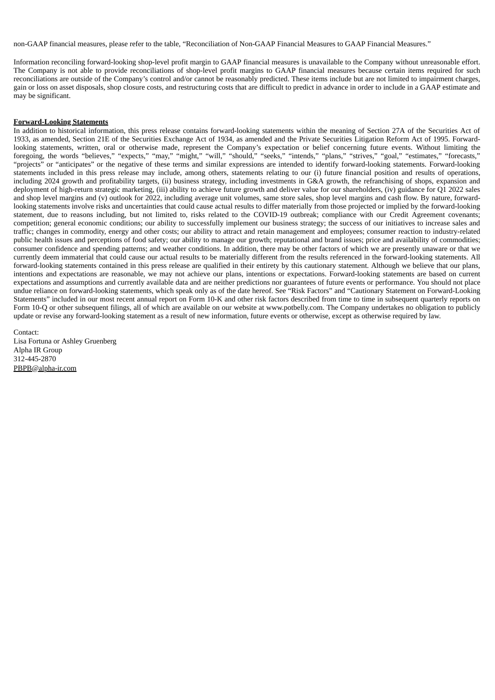non-GAAP financial measures, please refer to the table, "Reconciliation of Non-GAAP Financial Measures to GAAP Financial Measures."

Information reconciling forward-looking shop-level profit margin to GAAP financial measures is unavailable to the Company without unreasonable effort. The Company is not able to provide reconciliations of shop-level profit margins to GAAP financial measures because certain items required for such reconciliations are outside of the Company's control and/or cannot be reasonably predicted. These items include but are not limited to impairment charges, gain or loss on asset disposals, shop closure costs, and restructuring costs that are difficult to predict in advance in order to include in a GAAP estimate and may be significant.

#### **Forward-Looking Statements**

In addition to historical information, this press release contains forward-looking statements within the meaning of Section 27A of the Securities Act of 1933, as amended, Section 21E of the Securities Exchange Act of 1934, as amended and the Private Securities Litigation Reform Act of 1995. Forwardlooking statements, written, oral or otherwise made, represent the Company's expectation or belief concerning future events. Without limiting the foregoing, the words "believes," "expects," "may," "might," "will," "should," "seeks," "intends," "plans," "strives," "goal," "estimates," "forecasts," "projects" or "anticipates" or the negative of these terms and similar expressions are intended to identify forward-looking statements. Forward-looking statements included in this press release may include, among others, statements relating to our (i) future financial position and results of operations, including 2024 growth and profitability targets, (ii) business strategy, including investments in G&A growth, the refranchising of shops, expansion and deployment of high-return strategic marketing, (iii) ability to achieve future growth and deliver value for our shareholders, (iv) guidance for Q1 2022 sales and shop level margins and (v) outlook for 2022, including average unit volumes, same store sales, shop level margins and cash flow. By nature, forwardlooking statements involve risks and uncertainties that could cause actual results to differ materially from those projected or implied by the forward-looking statement, due to reasons including, but not limited to, risks related to the COVID-19 outbreak; compliance with our Credit Agreement covenants; competition; general economic conditions; our ability to successfully implement our business strategy; the success of our initiatives to increase sales and traffic; changes in commodity, energy and other costs; our ability to attract and retain management and employees; consumer reaction to industry-related public health issues and perceptions of food safety; our ability to manage our growth; reputational and brand issues; price and availability of commodities; consumer confidence and spending patterns; and weather conditions. In addition, there may be other factors of which we are presently unaware or that we currently deem immaterial that could cause our actual results to be materially different from the results referenced in the forward-looking statements. All forward-looking statements contained in this press release are qualified in their entirety by this cautionary statement. Although we believe that our plans, intentions and expectations are reasonable, we may not achieve our plans, intentions or expectations. Forward-looking statements are based on current expectations and assumptions and currently available data and are neither predictions nor guarantees of future events or performance. You should not place undue reliance on forward-looking statements, which speak only as of the date hereof. See "Risk Factors" and "Cautionary Statement on Forward-Looking Statements" included in our most recent annual report on Form 10-K and other risk factors described from time to time in subsequent quarterly reports on Form 10-Q or other subsequent filings, all of which are available on our website at www.potbelly.com. The Company undertakes no obligation to publicly update or revise any forward-looking statement as a result of new information, future events or otherwise, except as otherwise required by law.

Contact: Lisa Fortuna or Ashley Gruenberg Alpha IR Group 312-445-2870 PBPB@alpha-ir.com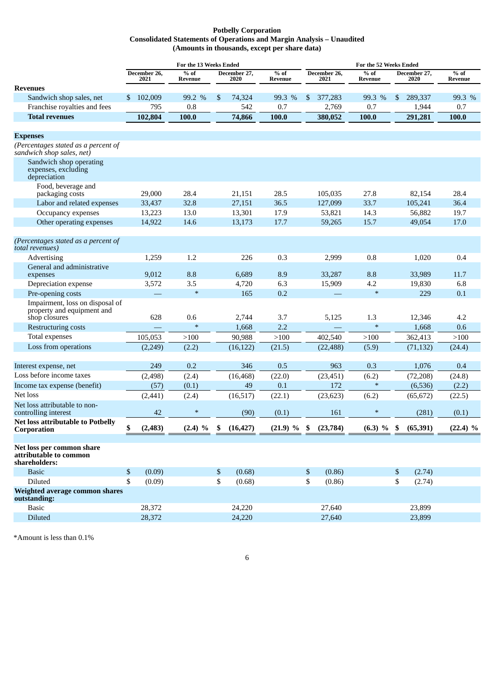#### **Potbelly Corporation Consolidated Statements of Operations and Margin Analysis – Unaudited (Amounts in thousands, except per share data)**

|                                                                      |                      | For the 13 Weeks Ended |                      |           |                   | For the 52 Weeks Ended |                      |                   |                      |           |                   |
|----------------------------------------------------------------------|----------------------|------------------------|----------------------|-----------|-------------------|------------------------|----------------------|-------------------|----------------------|-----------|-------------------|
|                                                                      | December 26,<br>2021 | $%$ of<br>Revenue      | December 27,<br>2020 |           | $%$ of<br>Revenue |                        | December 26,<br>2021 | $%$ of<br>Revenue | December 27.<br>2020 |           | $%$ of<br>Revenue |
| <b>Revenues</b>                                                      |                      |                        |                      |           |                   |                        |                      |                   |                      |           |                   |
| Sandwich shop sales, net                                             | 102,009<br>\$        | 99.2 %                 | \$                   | 74,324    | 99.3 %            | \$                     | 377,283              | 99.3 %            | \$                   | 289,337   | 99.3 %            |
| Franchise royalties and fees                                         | 795                  | 0.8                    |                      | 542       | 0.7               |                        | 2,769                | 0.7               |                      | 1,944     | 0.7               |
| <b>Total revenues</b>                                                | 102,804              | 100.0                  |                      | 74,866    | 100.0             |                        | 380,052              | 100.0             |                      | 291,281   | 100.0             |
| <b>Expenses</b>                                                      |                      |                        |                      |           |                   |                        |                      |                   |                      |           |                   |
| (Percentages stated as a percent of<br>sandwich shop sales, net)     |                      |                        |                      |           |                   |                        |                      |                   |                      |           |                   |
| Sandwich shop operating<br>expenses, excluding<br>depreciation       |                      |                        |                      |           |                   |                        |                      |                   |                      |           |                   |
| Food, beverage and<br>packaging costs                                | 29,000               | 28.4                   |                      | 21,151    | 28.5              |                        | 105,035              | 27.8              |                      | 82,154    | 28.4              |
| Labor and related expenses                                           | 33,437               | 32.8                   |                      | 27,151    | 36.5              |                        | 127,099              | 33.7              |                      | 105,241   | 36.4              |
| Occupancy expenses                                                   | 13,223               | 13.0                   |                      | 13,301    | 17.9              |                        | 53,821               | 14.3              |                      | 56,882    | 19.7              |
| Other operating expenses                                             | 14,922               | 14.6                   |                      | 13,173    | 17.7              |                        | 59,265               | 15.7              |                      | 49,054    | 17.0              |
| (Percentages stated as a percent of<br>total revenues)               |                      |                        |                      |           |                   |                        |                      |                   |                      |           |                   |
| Advertising                                                          | 1,259                | 1.2                    |                      | 226       | 0.3               |                        | 2,999                | 0.8               |                      | 1,020     | 0.4               |
| General and administrative<br>expenses                               | 9,012                | 8.8                    |                      | 6,689     | 8.9               |                        | 33,287               | 8.8               |                      | 33,989    | 11.7              |
| Depreciation expense                                                 | 3,572                | 3.5                    |                      | 4,720     | 6.3               |                        | 15,909               | 4.2               |                      | 19,830    | 6.8               |
| Pre-opening costs                                                    |                      | $\ast$                 |                      | 165       | 0.2               |                        |                      | $\ast$            |                      | 229       | 0.1               |
| Impairment, loss on disposal of<br>property and equipment and        |                      |                        |                      |           |                   |                        |                      |                   |                      |           |                   |
| shop closures                                                        | 628                  | 0.6<br>$\ast$          |                      | 2,744     | 3.7               |                        | 5,125                | 1.3<br>$\ast$     |                      | 12,346    | 4.2               |
| <b>Restructuring costs</b>                                           |                      |                        |                      | 1,668     | 2.2               |                        |                      |                   |                      | 1,668     | 0.6               |
| Total expenses                                                       | 105,053              | >100                   |                      | 90,988    | >100              |                        | 402,540              | >100              |                      | 362,413   | >100              |
| Loss from operations                                                 | (2,249)              | (2.2)                  |                      | (16, 122) | (21.5)            |                        | (22, 488)            | (5.9)             |                      | (71, 132) | (24.4)            |
| Interest expense, net                                                | 249                  | 0.2                    |                      | 346       | 0.5               |                        | 963                  | 0.3               |                      | 1,076     | 0.4               |
| Loss before income taxes                                             | (2, 498)             | (2.4)                  |                      | (16, 468) | (22.0)            |                        | (23, 451)            | (6.2)             |                      | (72, 208) | (24.8)            |
| Income tax expense (benefit)                                         | (57)                 | (0.1)                  |                      | 49        | 0.1               |                        | 172                  | $\ast$            |                      | (6,536)   | (2.2)             |
| Net loss                                                             | (2, 441)             | (2.4)                  |                      | (16, 517) | (22.1)            |                        | (23, 623)            | (6.2)             |                      | (65, 672) | (22.5)            |
| Net loss attributable to non-<br>controlling interest                | 42                   | $\ast$                 |                      | (90)      | (0.1)             |                        | 161                  | *                 |                      | (281)     | (0.1)             |
| <b>Net loss attributable to Potbelly</b><br>Corporation              | \$<br>(2, 483)       | $(2.4)$ %              | \$                   | (16, 427) | (21.9) %          | \$                     | (23,784)             | $(6.3)$ %         | \$                   | (65, 391) | $(22.4)$ %        |
| Net loss per common share<br>attributable to common<br>shareholders: |                      |                        |                      |           |                   |                        |                      |                   |                      |           |                   |
| <b>Basic</b>                                                         | \$<br>(0.09)         |                        | \$                   | (0.68)    |                   | \$                     | (0.86)               |                   | \$                   | (2.74)    |                   |
| Diluted                                                              | \$<br>(0.09)         |                        | \$                   | (0.68)    |                   | \$                     | (0.86)               |                   | \$                   | (2.74)    |                   |
| Weighted average common shares<br>outstanding:                       |                      |                        |                      |           |                   |                        |                      |                   |                      |           |                   |
| <b>Basic</b>                                                         | 28,372               |                        |                      | 24,220    |                   |                        | 27,640               |                   |                      | 23,899    |                   |
| Diluted                                                              | 28,372               |                        |                      | 24,220    |                   |                        | 27,640               |                   |                      | 23,899    |                   |

\*Amount is less than 0.1%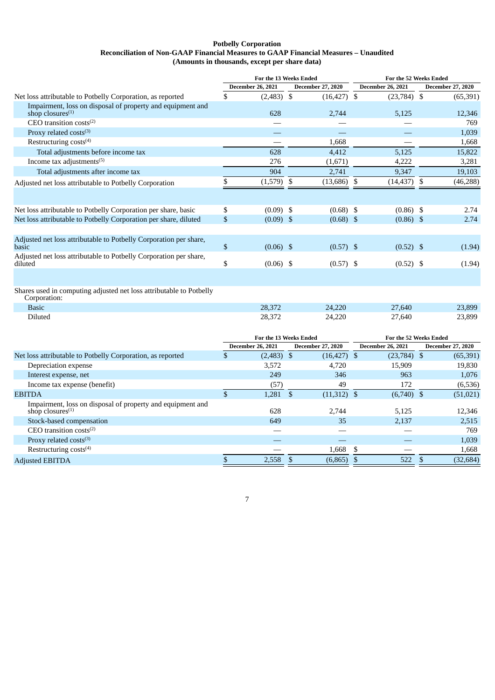#### **Potbelly Corporation Reconciliation of Non-GAAP Financial Measures to GAAP Financial Measures – Unaudited (Amounts in thousands, except per share data)**

|                                                                                     | For the 13 Weeks Ended |                          |                | For the 52 Weeks Ended   |                          |            |                          |
|-------------------------------------------------------------------------------------|------------------------|--------------------------|----------------|--------------------------|--------------------------|------------|--------------------------|
|                                                                                     |                        | <b>December 26, 2021</b> |                | <b>December 27, 2020</b> | <b>December 26, 2021</b> |            | <b>December 27, 2020</b> |
| Net loss attributable to Potbelly Corporation, as reported                          | \$                     | (2,483)                  | \$             | $(16, 427)$ \$           | $(23,784)$ \$            |            | (65, 391)                |
| Impairment, loss on disposal of property and equipment and<br>shop closures $(1)$   |                        | 628                      |                | 2,744                    | 5,125                    |            | 12,346                   |
| CEO transition costs $(2)$                                                          |                        |                          |                |                          |                          |            | 769                      |
| Proxy related costs(3)                                                              |                        |                          |                |                          |                          |            | 1,039                    |
| Restructuring costs <sup>(4)</sup>                                                  |                        |                          |                | 1,668                    |                          |            | 1,668                    |
| Total adjustments before income tax                                                 |                        | 628                      |                | 4,412                    | 5,125                    |            | 15,822                   |
| Income tax adjustments <sup>(5)</sup>                                               |                        | 276                      |                | (1,671)                  | 4,222                    |            | 3,281                    |
| Total adjustments after income tax                                                  |                        | 904                      |                | 2,741                    | 9,347                    |            | 19,103                   |
| Adjusted net loss attributable to Potbelly Corporation                              | \$                     | (1,579)                  | \$             | $(13,686)$ \$            | (14, 437)                | \$         | (46, 288)                |
|                                                                                     |                        |                          |                |                          |                          |            |                          |
| Net loss attributable to Potbelly Corporation per share, basic                      | \$                     | $(0.09)$ \$              |                | $(0.68)$ \$              | $(0.86)$ \$              |            | 2.74                     |
| Net loss attributable to Potbelly Corporation per share, diluted                    | $\mathbb{S}$           | $(0.09)$ \$              |                | $(0.68)$ \$              | $(0.86)$ \$              |            | 2.74                     |
| Adjusted net loss attributable to Potbelly Corporation per share,<br>basic          | $\mathbb{S}$           | $(0.06)$ \$              |                | $(0.57)$ \$              | $(0.52)$ \$              |            | (1.94)                   |
| Adjusted net loss attributable to Potbelly Corporation per share,<br>diluted        | \$                     | $(0.06)$ \$              |                | $(0.57)$ \$              | $(0.52)$ \$              |            | (1.94)                   |
|                                                                                     |                        |                          |                |                          |                          |            |                          |
| Shares used in computing adjusted net loss attributable to Potbelly<br>Corporation: |                        |                          |                |                          |                          |            |                          |
| <b>Basic</b>                                                                        |                        | 28,372                   |                | 24,220                   | 27,640                   |            | 23,899                   |
| Diluted                                                                             |                        | 28,372                   |                | 24,220                   | 27,640                   |            | 23,899                   |
|                                                                                     |                        | For the 13 Weeks Ended   |                |                          | For the 52 Weeks Ended   |            |                          |
|                                                                                     |                        | <b>December 26, 2021</b> |                | December 27, 2020        | <b>December 26, 2021</b> |            | December 27, 2020        |
| Net loss attributable to Potbelly Corporation, as reported                          | \$                     | $(2,483)$ \$             |                | $(16, 427)$ \$           | $(23,784)$ \$            |            | (65, 391)                |
| Depreciation expense                                                                |                        | 3,572                    |                | 4,720                    | 15,909                   |            | 19,830                   |
| Interest expense, net                                                               |                        | 249                      |                | 346                      | 963                      |            | 1,076                    |
| Income tax expense (benefit)                                                        |                        | (57)                     |                | 49                       | 172                      |            | (6,536)                  |
| <b>EBITDA</b>                                                                       | $\mathbb{S}$           | 1,281                    | $\mathfrak{s}$ | $(11,312)$ \$            | $(6,740)$ \$             |            | (51, 021)                |
| Impairment, loss on disposal of property and equipment and<br>shop closures $(1)$   |                        | 628                      |                | 2,744                    | 5,125                    |            | 12,346                   |
| Stock-based compensation                                                            |                        | 649                      |                | 35                       | 2,137                    |            | 2,515                    |
| CEO transition costs $(2)$                                                          |                        |                          |                |                          |                          |            | 769                      |
| Proxy related costs(3)                                                              |                        |                          |                |                          |                          |            | 1,039                    |
| Restructuring costs <sup>(4)</sup>                                                  |                        |                          |                | 1,668                    | \$                       |            | 1,668                    |
| <b>Adjusted EBITDA</b>                                                              | \$                     | 2.558                    | $\mathfrak{S}$ | $(6,865)$ \$             | 522                      | $\sqrt{3}$ | (32, 684)                |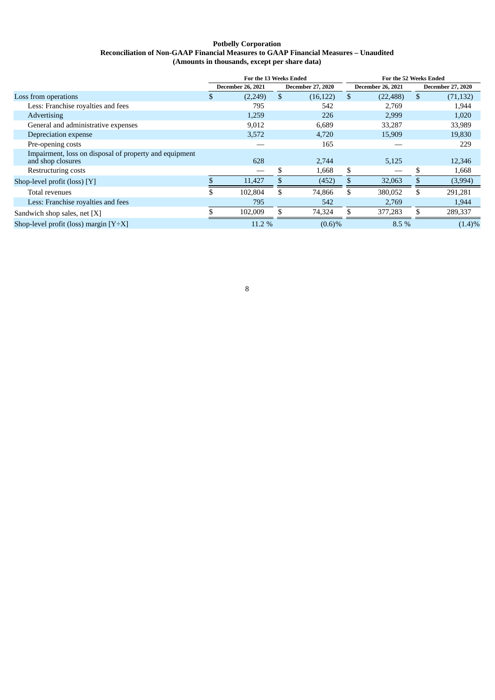#### **Potbelly Corporation Reconciliation of Non-GAAP Financial Measures to GAAP Financial Measures – Unaudited (Amounts in thousands, except per share data)**

|                                                                             | For the 13 Weeks Ended   |         |                          |                          | For the 52 Weeks Ended |           |                          |           |  |  |
|-----------------------------------------------------------------------------|--------------------------|---------|--------------------------|--------------------------|------------------------|-----------|--------------------------|-----------|--|--|
|                                                                             | <b>December 26, 2021</b> |         | <b>December 27, 2020</b> | <b>December 26, 2021</b> |                        |           | <b>December 27, 2020</b> |           |  |  |
| Loss from operations                                                        |                          | (2,249) | \$.                      | (16, 122)                | \$.                    | (22, 488) | \$                       | (71, 132) |  |  |
| Less: Franchise royalties and fees                                          |                          | 795     |                          | 542                      |                        | 2,769     |                          | 1,944     |  |  |
| Advertising                                                                 |                          | 1,259   |                          | 226                      |                        | 2,999     |                          | 1,020     |  |  |
| General and administrative expenses                                         |                          | 9,012   |                          | 6,689                    |                        | 33,287    |                          | 33,989    |  |  |
| Depreciation expense                                                        |                          | 3,572   |                          | 4,720                    |                        | 15,909    |                          | 19,830    |  |  |
| Pre-opening costs                                                           |                          |         |                          | 165                      |                        |           |                          | 229       |  |  |
| Impairment, loss on disposal of property and equipment<br>and shop closures |                          | 628     |                          | 2.744                    |                        | 5,125     |                          | 12,346    |  |  |
| Restructuring costs                                                         |                          |         | S                        | 1,668                    | \$                     |           | \$                       | 1,668     |  |  |
| Shop-level profit (loss) $[Y]$                                              |                          | 11,427  | \$.                      | (452)                    | Эħ                     | 32,063    | \$                       | (3,994)   |  |  |
| Total revenues                                                              |                          | 102,804 | S.                       | 74,866                   | \$.                    | 380,052   | \$.                      | 291,281   |  |  |
| Less: Franchise royalties and fees                                          |                          | 795     |                          | 542                      |                        | 2,769     |                          | 1,944     |  |  |
| Sandwich shop sales, net $[X]$                                              |                          | 102,009 |                          | 74,324                   |                        | 377,283   |                          | 289,337   |  |  |
| Shop-level profit (loss) margin $[Y \div X]$                                |                          | 11.2 %  |                          | (0.6)%                   |                        | 8.5 %     |                          | $(1.4)\%$ |  |  |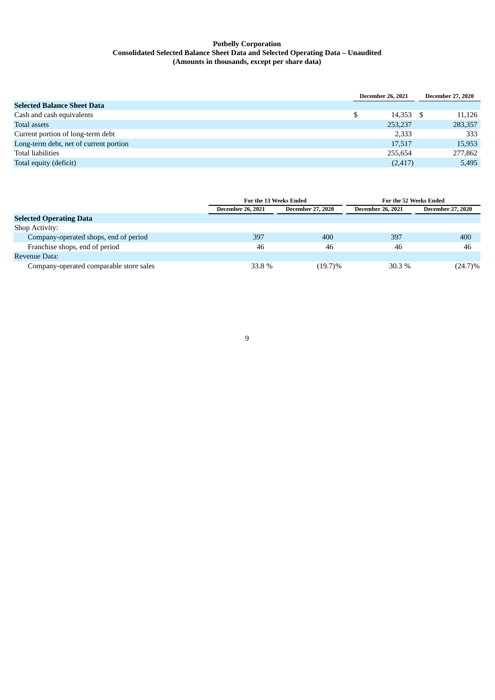#### **Potbelly Corporation Consolidated Selected Balance Sheet Data and Selected Operating Data – Unaudited (Amounts in thousands, except per share data)**

|                                        | <b>December 26, 2021</b> | <b>December 27, 2020</b> |
|----------------------------------------|--------------------------|--------------------------|
| <b>Selected Balance Sheet Data</b>     |                          |                          |
| Cash and cash equivalents              | 14,353                   | 11,126                   |
| Total assets                           | 253,237                  | 283,357                  |
| Current portion of long-term debt      | 2,333                    | 333                      |
| Long-term debt, net of current portion | 17,517                   | 15,953                   |
| <b>Total liabilities</b>               | 255,654                  | 277,862                  |
| Total equity (deficit)                 | (2, 417)                 | 5,495                    |

|                                         |                          | For the 13 Weeks Ended   | For the 52 Weeks Ended   |                          |  |  |
|-----------------------------------------|--------------------------|--------------------------|--------------------------|--------------------------|--|--|
|                                         | <b>December 26, 2021</b> | <b>December 27, 2020</b> | <b>December 26, 2021</b> | <b>December 27, 2020</b> |  |  |
| <b>Selected Operating Data</b>          |                          |                          |                          |                          |  |  |
| Shop Activity:                          |                          |                          |                          |                          |  |  |
| Company-operated shops, end of period   | 397                      | 400                      | 397                      | 400                      |  |  |
| Franchise shops, end of period          | 46                       | 46                       | 46                       | 46                       |  |  |
| Revenue Data:                           |                          |                          |                          |                          |  |  |
| Company-operated comparable store sales | 33.8 %                   | (19.7)%                  | 30.3 %                   | $(24.7)\%$               |  |  |